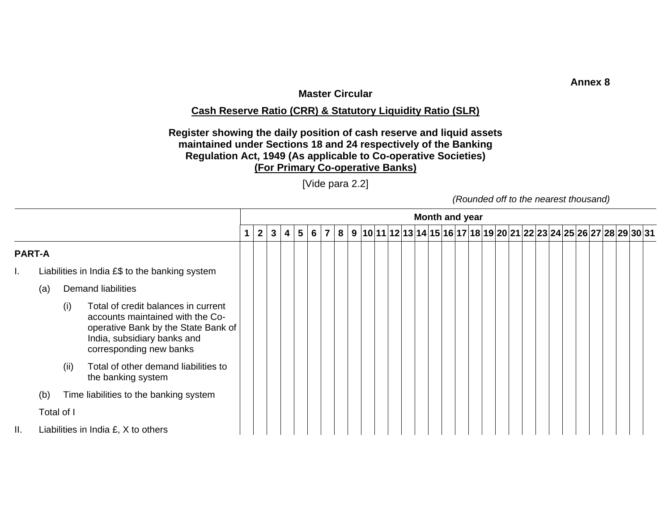## **Master Circular**

## **Cash Reserve Ratio (CRR) & Statutory Liquidity Ratio (SLR)**

## **Register showing the daily position of cash reserve and liquid assets maintained under Sections 18 and 24 respectively of the Banking Regulation Act, 1949 (As applicable to Co-operative Societies) (For Primary Co-operative Banks)**

[Vide para 2.2]

*(Rounded off to the nearest thousand)* 

|               |     |            |                                                                                                                                                                          |                |              |   |                         |     |  |  |  | <b>Month and year</b> |  |  |  |  |  |  |  |                                                                          |  |
|---------------|-----|------------|--------------------------------------------------------------------------------------------------------------------------------------------------------------------------|----------------|--------------|---|-------------------------|-----|--|--|--|-----------------------|--|--|--|--|--|--|--|--------------------------------------------------------------------------|--|
|               |     |            |                                                                                                                                                                          | $\overline{2}$ | $\mathbf{3}$ | 4 | $\overline{\mathbf{5}}$ | 6 7 |  |  |  |                       |  |  |  |  |  |  |  | 8   9  10 11 12 13 14 15 16 17 18 19 20 21 22 23 24 25 26 27 28 29 30 31 |  |
| <b>PART-A</b> |     |            |                                                                                                                                                                          |                |              |   |                         |     |  |  |  |                       |  |  |  |  |  |  |  |                                                                          |  |
| т.            |     |            | Liabilities in India $E$ \$ to the banking system                                                                                                                        |                |              |   |                         |     |  |  |  |                       |  |  |  |  |  |  |  |                                                                          |  |
|               | (a) |            | <b>Demand liabilities</b>                                                                                                                                                |                |              |   |                         |     |  |  |  |                       |  |  |  |  |  |  |  |                                                                          |  |
|               |     | (i)        | Total of credit balances in current<br>accounts maintained with the Co-<br>operative Bank by the State Bank of<br>India, subsidiary banks and<br>corresponding new banks |                |              |   |                         |     |  |  |  |                       |  |  |  |  |  |  |  |                                                                          |  |
|               |     | (ii)       | Total of other demand liabilities to<br>the banking system                                                                                                               |                |              |   |                         |     |  |  |  |                       |  |  |  |  |  |  |  |                                                                          |  |
|               | (b) |            | Time liabilities to the banking system                                                                                                                                   |                |              |   |                         |     |  |  |  |                       |  |  |  |  |  |  |  |                                                                          |  |
|               |     | Total of I |                                                                                                                                                                          |                |              |   |                         |     |  |  |  |                       |  |  |  |  |  |  |  |                                                                          |  |
| П.            |     |            | Liabilities in India £, X to others                                                                                                                                      |                |              |   |                         |     |  |  |  |                       |  |  |  |  |  |  |  |                                                                          |  |

**Annex 8**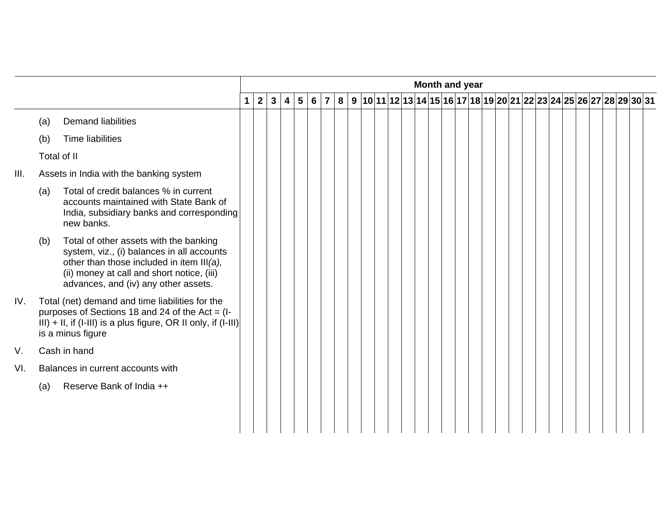|      |             |                                                                                                                                                                                                                         |              |                |                |                |                |                |                |  |  |  |  |  | Month and year |  |  |  |  |  |                                                                         |  |
|------|-------------|-------------------------------------------------------------------------------------------------------------------------------------------------------------------------------------------------------------------------|--------------|----------------|----------------|----------------|----------------|----------------|----------------|--|--|--|--|--|----------------|--|--|--|--|--|-------------------------------------------------------------------------|--|
|      |             |                                                                                                                                                                                                                         | $\mathbf{1}$ | 2 <sup>1</sup> | 3 <sup>1</sup> | $\overline{4}$ | 5 <sup>1</sup> | $6\phantom{1}$ | $\overline{7}$ |  |  |  |  |  |                |  |  |  |  |  | $8 9 10 11 12 13 14 15 16 17 18 19 20 21 22 23 24 25 26 27 28 29 30 31$ |  |
|      | (a)         | <b>Demand liabilities</b>                                                                                                                                                                                               |              |                |                |                |                |                |                |  |  |  |  |  |                |  |  |  |  |  |                                                                         |  |
|      | (b)         | <b>Time liabilities</b>                                                                                                                                                                                                 |              |                |                |                |                |                |                |  |  |  |  |  |                |  |  |  |  |  |                                                                         |  |
|      | Total of II |                                                                                                                                                                                                                         |              |                |                |                |                |                |                |  |  |  |  |  |                |  |  |  |  |  |                                                                         |  |
| III. |             | Assets in India with the banking system                                                                                                                                                                                 |              |                |                |                |                |                |                |  |  |  |  |  |                |  |  |  |  |  |                                                                         |  |
|      | (a)         | Total of credit balances % in current<br>accounts maintained with State Bank of<br>India, subsidiary banks and corresponding<br>new banks.                                                                              |              |                |                |                |                |                |                |  |  |  |  |  |                |  |  |  |  |  |                                                                         |  |
|      | (b)         | Total of other assets with the banking<br>system, viz., (i) balances in all accounts<br>other than those included in item III(a),<br>(ii) money at call and short notice, (iii)<br>advances, and (iv) any other assets. |              |                |                |                |                |                |                |  |  |  |  |  |                |  |  |  |  |  |                                                                         |  |
| IV.  |             | Total (net) demand and time liabilities for the<br>purposes of Sections 18 and 24 of the Act = $(I - I)$<br>$III$ ) + II, if (I-III) is a plus figure, OR II only, if (I-III)<br>is a minus figure                      |              |                |                |                |                |                |                |  |  |  |  |  |                |  |  |  |  |  |                                                                         |  |
| V.   |             | Cash in hand                                                                                                                                                                                                            |              |                |                |                |                |                |                |  |  |  |  |  |                |  |  |  |  |  |                                                                         |  |
| VI.  |             | Balances in current accounts with                                                                                                                                                                                       |              |                |                |                |                |                |                |  |  |  |  |  |                |  |  |  |  |  |                                                                         |  |
|      | (a)         | Reserve Bank of India ++                                                                                                                                                                                                |              |                |                |                |                |                |                |  |  |  |  |  |                |  |  |  |  |  |                                                                         |  |
|      |             |                                                                                                                                                                                                                         |              |                |                |                |                |                |                |  |  |  |  |  |                |  |  |  |  |  |                                                                         |  |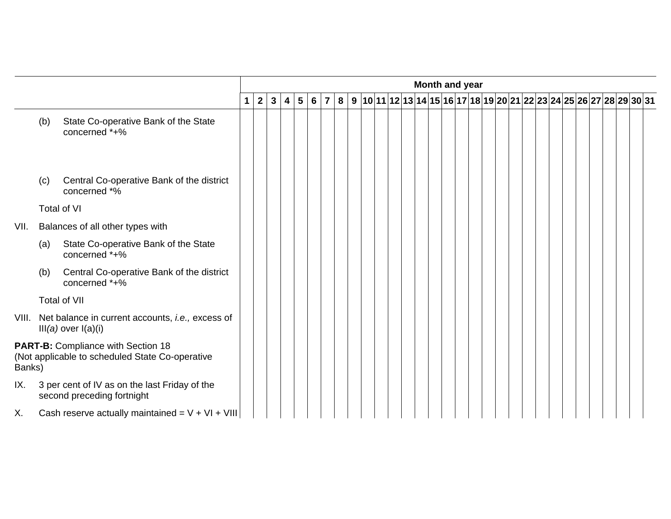|        |     |                                                                                              |             |                |              |                         |                 |            |  |  |  |  |  | Month and year |  |  |  |  |  |  |                                                                       |
|--------|-----|----------------------------------------------------------------------------------------------|-------------|----------------|--------------|-------------------------|-----------------|------------|--|--|--|--|--|----------------|--|--|--|--|--|--|-----------------------------------------------------------------------|
|        |     |                                                                                              | $\mathbf 1$ | $\overline{2}$ | $\mathbf{3}$ | $\overline{\mathbf{4}}$ | $5\phantom{.0}$ | $6 \mid 7$ |  |  |  |  |  |                |  |  |  |  |  |  | 8 9 10 11 12 13 14 15 16 17 18 19 20 21 22 23 24 25 26 27 28 29 30 31 |
|        | (b) | State Co-operative Bank of the State<br>concerned *+%                                        |             |                |              |                         |                 |            |  |  |  |  |  |                |  |  |  |  |  |  |                                                                       |
|        | (c) | Central Co-operative Bank of the district<br>concerned *%                                    |             |                |              |                         |                 |            |  |  |  |  |  |                |  |  |  |  |  |  |                                                                       |
|        |     | Total of VI                                                                                  |             |                |              |                         |                 |            |  |  |  |  |  |                |  |  |  |  |  |  |                                                                       |
| VII.   |     | Balances of all other types with                                                             |             |                |              |                         |                 |            |  |  |  |  |  |                |  |  |  |  |  |  |                                                                       |
|        | (a) | State Co-operative Bank of the State<br>concerned *+%                                        |             |                |              |                         |                 |            |  |  |  |  |  |                |  |  |  |  |  |  |                                                                       |
|        | (b) | Central Co-operative Bank of the district<br>concerned *+%                                   |             |                |              |                         |                 |            |  |  |  |  |  |                |  |  |  |  |  |  |                                                                       |
|        |     | Total of VII                                                                                 |             |                |              |                         |                 |            |  |  |  |  |  |                |  |  |  |  |  |  |                                                                       |
|        |     | VIII. Net balance in current accounts, i.e., excess of<br>$III(a)$ over $I(a)(i)$            |             |                |              |                         |                 |            |  |  |  |  |  |                |  |  |  |  |  |  |                                                                       |
| Banks) |     | <b>PART-B:</b> Compliance with Section 18<br>(Not applicable to scheduled State Co-operative |             |                |              |                         |                 |            |  |  |  |  |  |                |  |  |  |  |  |  |                                                                       |
| IX.    |     | 3 per cent of IV as on the last Friday of the<br>second preceding fortnight                  |             |                |              |                         |                 |            |  |  |  |  |  |                |  |  |  |  |  |  |                                                                       |
| Χ.     |     | Cash reserve actually maintained = $V + VI + VIII$                                           |             |                |              |                         |                 |            |  |  |  |  |  |                |  |  |  |  |  |  |                                                                       |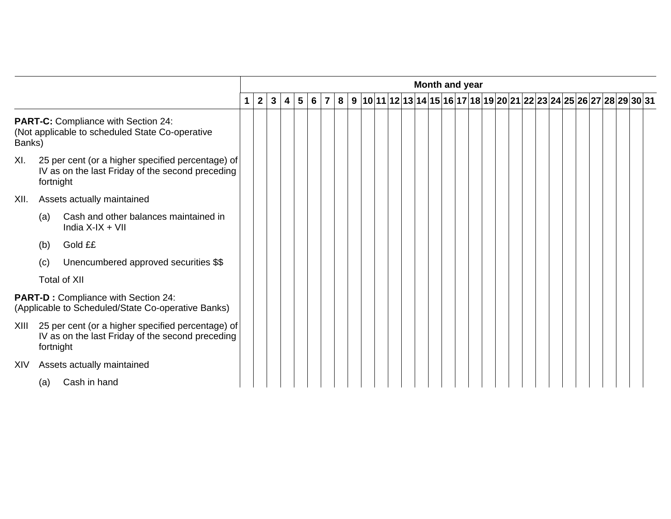|        |           |                                                                                                       |              |              |   |                 |                 |                |  |  |  |  |  |  | Month and year |  |  |  |  |  |                                                                       |  |
|--------|-----------|-------------------------------------------------------------------------------------------------------|--------------|--------------|---|-----------------|-----------------|----------------|--|--|--|--|--|--|----------------|--|--|--|--|--|-----------------------------------------------------------------------|--|
|        |           |                                                                                                       | $\mathbf{2}$ | $\mathbf{3}$ | 4 | $5\phantom{.0}$ | $6\phantom{1}6$ | $\overline{7}$ |  |  |  |  |  |  |                |  |  |  |  |  | 8 9 10 11 12 13 14 15 16 17 18 19 20 21 22 23 24 25 26 27 28 29 30 31 |  |
| Banks) |           | <b>PART-C:</b> Compliance with Section 24:<br>(Not applicable to scheduled State Co-operative         |              |              |   |                 |                 |                |  |  |  |  |  |  |                |  |  |  |  |  |                                                                       |  |
| XI.    | fortnight | 25 per cent (or a higher specified percentage) of<br>IV as on the last Friday of the second preceding |              |              |   |                 |                 |                |  |  |  |  |  |  |                |  |  |  |  |  |                                                                       |  |
| XII.   |           | Assets actually maintained                                                                            |              |              |   |                 |                 |                |  |  |  |  |  |  |                |  |  |  |  |  |                                                                       |  |
|        | (a)       | Cash and other balances maintained in<br>India $X$ -I $X + V$ II                                      |              |              |   |                 |                 |                |  |  |  |  |  |  |                |  |  |  |  |  |                                                                       |  |
|        | (b)       | Gold ££                                                                                               |              |              |   |                 |                 |                |  |  |  |  |  |  |                |  |  |  |  |  |                                                                       |  |
|        | (c)       | Unencumbered approved securities \$\$                                                                 |              |              |   |                 |                 |                |  |  |  |  |  |  |                |  |  |  |  |  |                                                                       |  |
|        |           | <b>Total of XII</b>                                                                                   |              |              |   |                 |                 |                |  |  |  |  |  |  |                |  |  |  |  |  |                                                                       |  |
|        |           | <b>PART-D: Compliance with Section 24:</b><br>(Applicable to Scheduled/State Co-operative Banks)      |              |              |   |                 |                 |                |  |  |  |  |  |  |                |  |  |  |  |  |                                                                       |  |
| XIII   | fortnight | 25 per cent (or a higher specified percentage) of<br>IV as on the last Friday of the second preceding |              |              |   |                 |                 |                |  |  |  |  |  |  |                |  |  |  |  |  |                                                                       |  |
| XIV    |           | Assets actually maintained                                                                            |              |              |   |                 |                 |                |  |  |  |  |  |  |                |  |  |  |  |  |                                                                       |  |
|        | (a)       | Cash in hand                                                                                          |              |              |   |                 |                 |                |  |  |  |  |  |  |                |  |  |  |  |  |                                                                       |  |